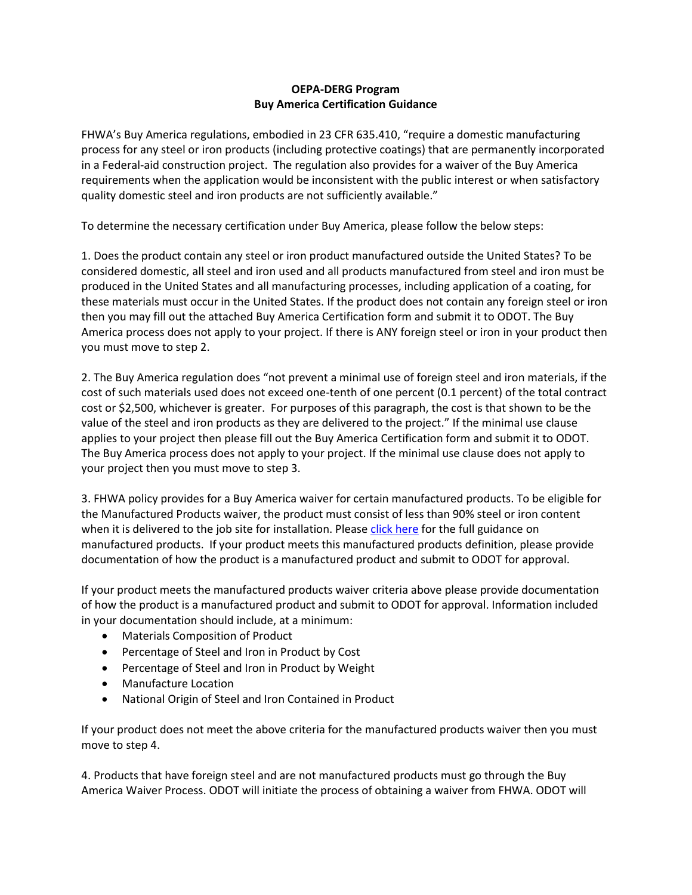## **OEPA-DERG Program Buy America Certification Guidance**

FHWA's Buy America regulations, embodied in 23 CFR 635.410, "require a domestic manufacturing process for any steel or iron products (including protective coatings) that are permanently incorporated in a Federal-aid construction project. The regulation also provides for a waiver of the Buy America requirements when the application would be inconsistent with the public interest or when satisfactory quality domestic steel and iron products are not sufficiently available."

To determine the necessary certification under Buy America, please follow the below steps:

1. Does the product contain any steel or iron product manufactured outside the United States? To be considered domestic, all steel and iron used and all products manufactured from steel and iron must be produced in the United States and all manufacturing processes, including application of a coating, for these materials must occur in the United States. If the product does not contain any foreign steel or iron then you may fill out the attached Buy America Certification form and submit it to ODOT. The Buy America process does not apply to your project. If there is ANY foreign steel or iron in your product then you must move to step 2.

2. The Buy America regulation does "not prevent a minimal use of foreign steel and iron materials, if the cost of such materials used does not exceed one-tenth of one percent (0.1 percent) of the total contract cost or \$2,500, whichever is greater. For purposes of this paragraph, the cost is that shown to be the value of the steel and iron products as they are delivered to the project." If the minimal use clause applies to your project then please fill out the Buy America Certification form and submit it to ODOT. The Buy America process does not apply to your project. If the minimal use clause does not apply to your project then you must move to step 3.

3. FHWA policy provides for a Buy America waiver for certain manufactured products. To be eligible for the Manufactured Products waiver, the product must consist of less than 90% steel or iron content when it is delivered to the job site for installation. Please [click here](http://www.fhwa.dot.gov/construction/contracts/121221.cfm) for the full guidance on manufactured products. If your product meets this manufactured products definition, please provide documentation of how the product is a manufactured product and submit to ODOT for approval.

If your product meets the manufactured products waiver criteria above please provide documentation of how the product is a manufactured product and submit to ODOT for approval. Information included in your documentation should include, at a minimum:

- Materials Composition of Product
- Percentage of Steel and Iron in Product by Cost
- Percentage of Steel and Iron in Product by Weight
- Manufacture Location
- National Origin of Steel and Iron Contained in Product

If your product does not meet the above criteria for the manufactured products waiver then you must move to step 4.

4. Products that have foreign steel and are not manufactured products must go through the Buy America Waiver Process. ODOT will initiate the process of obtaining a waiver from FHWA. ODOT will